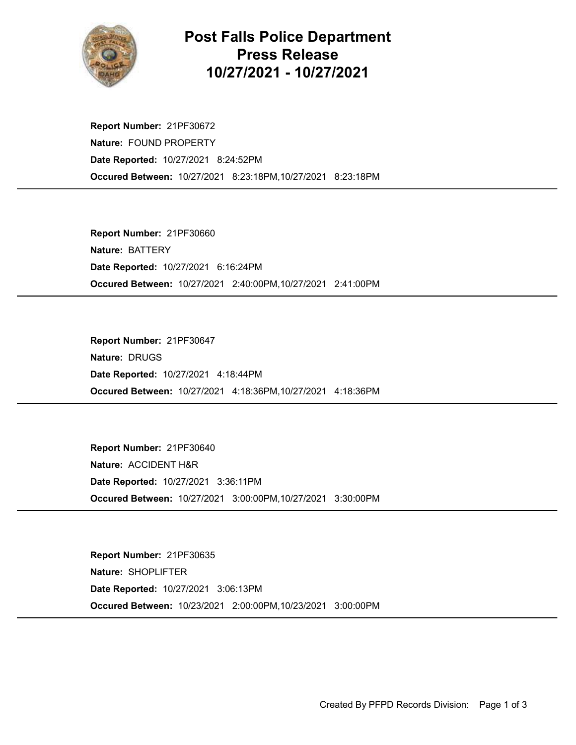

## Post Falls Police Department Press Release 10/27/2021 - 10/27/2021

Occured Between: 10/27/2021 8:23:18PM,10/27/2021 8:23:18PM Report Number: 21PF30672 Nature: FOUND PROPERTY Date Reported: 10/27/2021 8:24:52PM

Occured Between: 10/27/2021 2:40:00PM,10/27/2021 2:41:00PM Report Number: 21PF30660 Nature: BATTERY Date Reported: 10/27/2021 6:16:24PM

Occured Between: 10/27/2021 4:18:36PM,10/27/2021 4:18:36PM Report Number: 21PF30647 Nature: DRUGS Date Reported: 10/27/2021 4:18:44PM

Occured Between: 10/27/2021 3:00:00PM,10/27/2021 3:30:00PM Report Number: 21PF30640 Nature: ACCIDENT H&R Date Reported: 10/27/2021 3:36:11PM

Occured Between: 10/23/2021 2:00:00PM,10/23/2021 3:00:00PM Report Number: 21PF30635 Nature: SHOPLIFTER Date Reported: 10/27/2021 3:06:13PM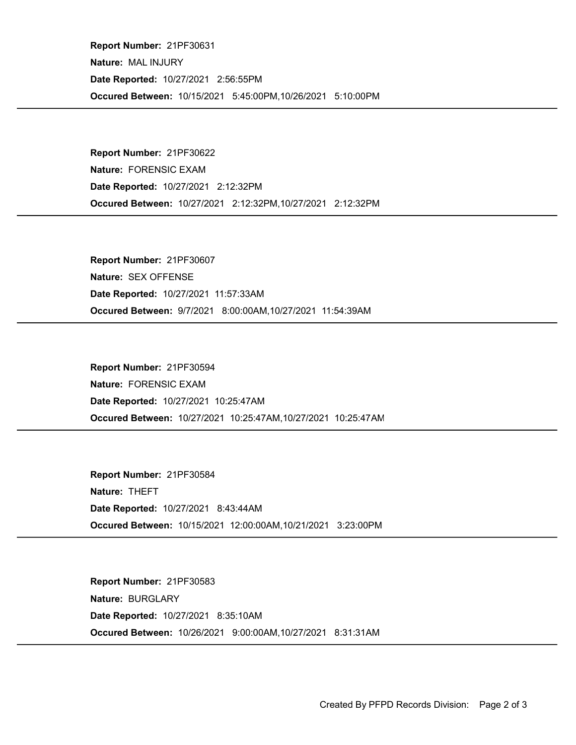Occured Between: 10/15/2021 5:45:00PM,10/26/2021 5:10:00PM Report Number: 21PF30631 Nature: MAL INJURY Date Reported: 10/27/2021 2:56:55PM

Occured Between: 10/27/2021 2:12:32PM,10/27/2021 2:12:32PM Report Number: 21PF30622 Nature: FORENSIC EXAM Date Reported: 10/27/2021 2:12:32PM

Occured Between: 9/7/2021 8:00:00AM,10/27/2021 11:54:39AM Report Number: 21PF30607 Nature: SEX OFFENSE Date Reported: 10/27/2021 11:57:33AM

Occured Between: 10/27/2021 10:25:47AM,10/27/2021 10:25:47AM Report Number: 21PF30594 Nature: FORENSIC EXAM Date Reported: 10/27/2021 10:25:47AM

Occured Between: 10/15/2021 12:00:00AM,10/21/2021 3:23:00PM Report Number: 21PF30584 Nature: THEFT Date Reported: 10/27/2021 8:43:44AM

Occured Between: 10/26/2021 9:00:00AM,10/27/2021 8:31:31AM Report Number: 21PF30583 Nature: BURGLARY Date Reported: 10/27/2021 8:35:10AM